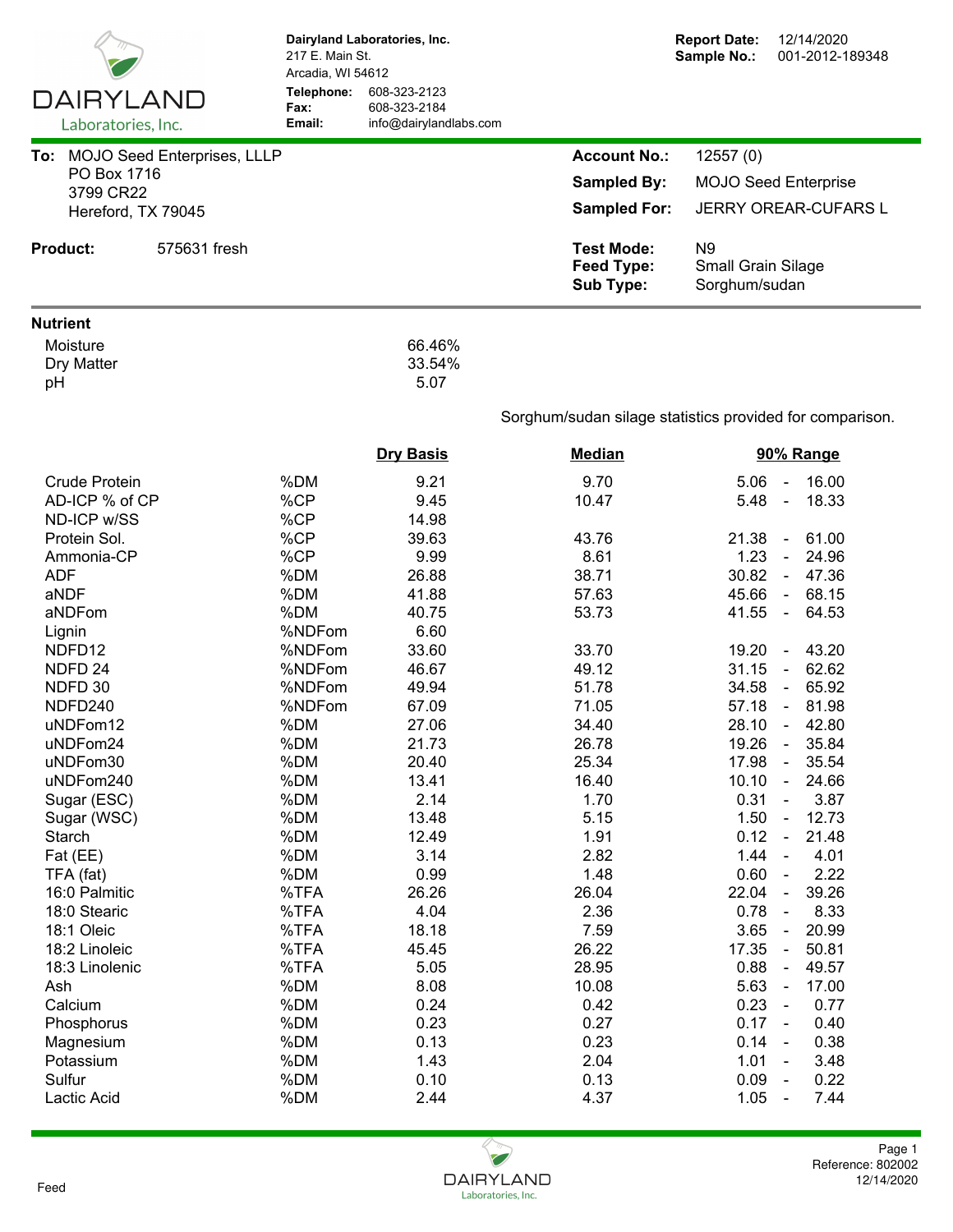| DAIRYLAND<br>Laboratories, Inc.     | 217 E. Main St.<br>Arcadia, WI 54612<br>Telephone:<br>Fax:<br>Email: | Dairyland Laboratories, Inc.<br>608-323-2123<br>608-323-2184<br>info@dairylandlabs.com |                                                            | <b>Report Date:</b><br>12/14/2020<br>Sample No.:<br>001-2012-189348 |
|-------------------------------------|----------------------------------------------------------------------|----------------------------------------------------------------------------------------|------------------------------------------------------------|---------------------------------------------------------------------|
| To: MOJO Seed Enterprises, LLLP     |                                                                      |                                                                                        | <b>Account No.:</b>                                        | 12557 (0)                                                           |
| PO Box 1716                         |                                                                      |                                                                                        |                                                            |                                                                     |
| 3799 CR22                           |                                                                      |                                                                                        | <b>Sampled By:</b>                                         | <b>MOJO Seed Enterprise</b>                                         |
| Hereford, TX 79045                  |                                                                      |                                                                                        | <b>Sampled For:</b>                                        | JERRY OREAR-CUFARS L                                                |
| <b>Product:</b><br>575631 fresh     |                                                                      |                                                                                        | <b>Test Mode:</b><br><b>Feed Type:</b><br><b>Sub Type:</b> | N <sub>9</sub><br><b>Small Grain Silage</b><br>Sorghum/sudan        |
| <b>Nutrient</b>                     |                                                                      |                                                                                        |                                                            |                                                                     |
| Moisture<br><b>Dry Matter</b><br>pH |                                                                      | 66.46%<br>33.54%<br>5.07                                                               |                                                            |                                                                     |
|                                     |                                                                      |                                                                                        |                                                            | Sorghum/sudan silage statistics provided for comparison.            |
|                                     |                                                                      | <b>Dry Basis</b>                                                                       | <b>Median</b>                                              | 90% Range                                                           |
| <b>Crude Protein</b>                | %DM                                                                  | 9.21                                                                                   | 9.70                                                       | 16.00<br>5.06<br>$\blacksquare$                                     |
| AD-ICP % of CP                      | %CP                                                                  | 9.45                                                                                   | 10.47                                                      | 5.48<br>18.33<br>$\blacksquare$                                     |
| ND-ICP w/SS                         | %CP                                                                  | 14.98                                                                                  |                                                            |                                                                     |
| Protein Sol.                        | %CP                                                                  | 39.63                                                                                  | 43.76                                                      | 21.38<br>61.00<br>$\blacksquare$                                    |
| Ammonia-CP                          | %CP                                                                  | 9.99                                                                                   | 8.61                                                       | 1.23<br>24.96<br>$\blacksquare$                                     |
| <b>ADF</b>                          | %DM                                                                  | 26.88                                                                                  | 38.71                                                      | 30.82<br>47.36<br>$\blacksquare$                                    |
| aNDF                                | %DM                                                                  | 41.88                                                                                  | 57.63                                                      | 45.66<br>68.15<br>$\blacksquare$                                    |
| aNDFom                              | %DM                                                                  | 40.75                                                                                  | 53.73                                                      | 41.55<br>64.53<br>$\omega$                                          |
| Lignin                              | %NDFom                                                               | 6.60                                                                                   |                                                            |                                                                     |
| NDFD12                              | %NDFom                                                               | 33.60                                                                                  | 33.70                                                      | 19.20<br>43.20<br>$\blacksquare$                                    |
| NDFD <sub>24</sub>                  | %NDFom                                                               | 46.67                                                                                  | 49.12                                                      | 62.62<br>31.15<br>$\blacksquare$                                    |
| NDFD 30                             | %NDFom                                                               | 49.94                                                                                  | 51.78                                                      | 65.92<br>34.58<br>$\blacksquare$                                    |
| NDFD240                             | %NDFom                                                               | 67.09                                                                                  | 71.05                                                      | 57.18<br>$-81.98$                                                   |
| uNDFom12                            | %DM                                                                  | 27.06                                                                                  | 34.40                                                      | 28.10<br>42.80                                                      |
| uNDFom24                            | %DM                                                                  | 21.73                                                                                  | 26.78                                                      | 19.26<br>$\sim$<br>35.84                                            |
| uNDFom30                            | %DM                                                                  | 20.40                                                                                  | 25.34                                                      | 17.98<br>35.54<br>$\blacksquare$                                    |
| uNDFom240                           | %DM                                                                  | 13.41                                                                                  | 16.40                                                      | 10.10<br>24.66<br>$\blacksquare$                                    |
| Sugar (ESC)                         | %DM                                                                  | 2.14                                                                                   | 1.70                                                       | 0.31<br>3.87<br>$\blacksquare$                                      |
| Sugar (WSC)                         | %DM                                                                  | 13.48                                                                                  | 5.15                                                       | 1.50<br>12.73<br>$\blacksquare$                                     |
| Starch                              | %DM                                                                  | 12.49                                                                                  | 1.91                                                       | 21.48<br>0.12<br>$\blacksquare$                                     |
| Fat (EE)                            | %DM                                                                  | 3.14                                                                                   | 2.82                                                       | 1.44<br>4.01<br>$\blacksquare$                                      |
| TFA (fat)                           | %DM                                                                  | 0.99                                                                                   | 1.48                                                       | 0.60<br>2.22<br>$\blacksquare$                                      |
| 16:0 Palmitic                       | %TFA                                                                 | 26.26                                                                                  | 26.04                                                      | 39.26<br>22.04<br>$\blacksquare$                                    |
| 18:0 Stearic                        | %TFA                                                                 | 4.04                                                                                   | 2.36                                                       | 8.33<br>0.78<br>$\blacksquare$                                      |
| 18:1 Oleic                          | %TFA                                                                 | 18.18                                                                                  | 7.59                                                       | 3.65<br>20.99<br>$\blacksquare$                                     |
| 18:2 Linoleic                       | %TFA                                                                 | 45.45                                                                                  | 26.22                                                      | 17.35<br>50.81<br>$\blacksquare$                                    |
| 18:3 Linolenic                      | %TFA                                                                 | 5.05                                                                                   | 28.95                                                      | 0.88<br>49.57<br>$\blacksquare$                                     |
| Ash                                 | %DM                                                                  | 8.08                                                                                   | 10.08                                                      | 5.63<br>17.00<br>$\blacksquare$                                     |
| Calcium                             | %DM                                                                  | 0.24                                                                                   | 0.42                                                       | 0.23<br>0.77<br>$\blacksquare$                                      |
| Phosphorus                          | %DM                                                                  | 0.23                                                                                   | 0.27                                                       | 0.17<br>0.40<br>$\blacksquare$                                      |
| Magnesium                           | %DM                                                                  | 0.13                                                                                   | 0.23                                                       | 0.14<br>0.38<br>$\blacksquare$                                      |
| Potassium                           | %DM                                                                  | 1.43                                                                                   | 2.04                                                       | 1.01<br>3.48<br>$\blacksquare$                                      |
| Sulfur                              | %DM                                                                  | 0.10                                                                                   | 0.13                                                       | 0.09<br>0.22<br>$\blacksquare$                                      |
| Lactic Acid                         | %DM                                                                  | 2.44                                                                                   | 4.37                                                       | 1.05<br>7.44<br>$\blacksquare$                                      |
|                                     |                                                                      |                                                                                        |                                                            |                                                                     |